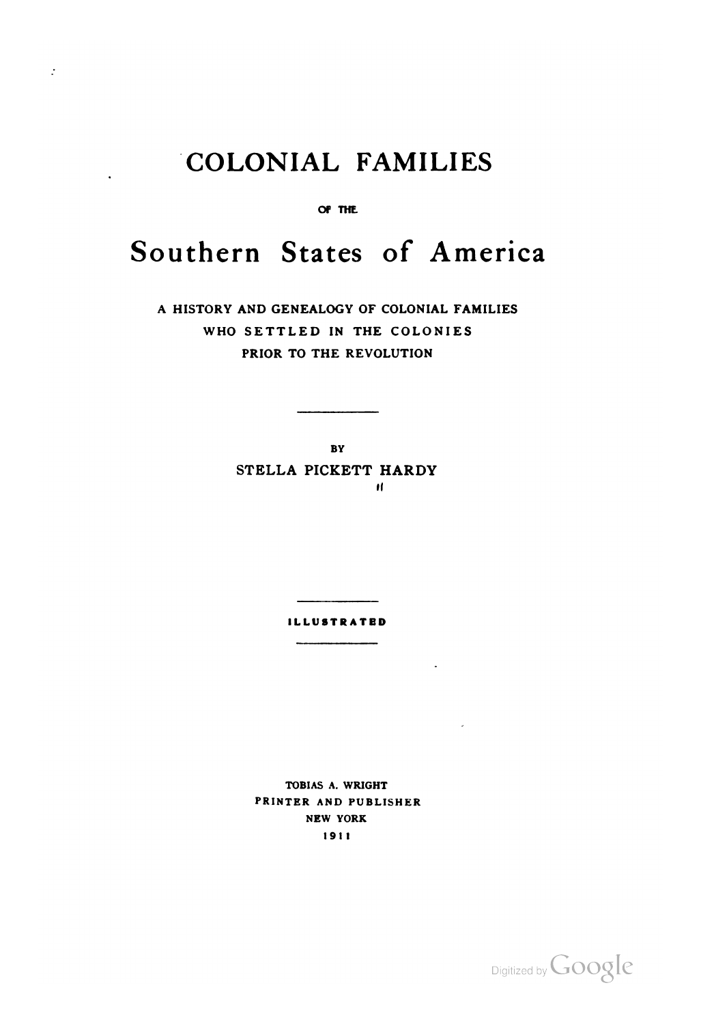## **COLONIAL FAMILIES**

 $\mathcal{L}$ 

OF THE

## **Southern States of America**

**A HISTORY AND GENEALOGY OF COLONIAL FAMILIES WHO SETTLED IN THE COLONIES PRIOR TO THE REVOLUTION** 

**BY** 

**STELLA PICKETT HARDY**   $\bf{I}$ 

**ILLUSTRATED** 

**TOBIAS A. WRIGHT PRINTER AND PUBLISHER NEW YORK 191 1** 

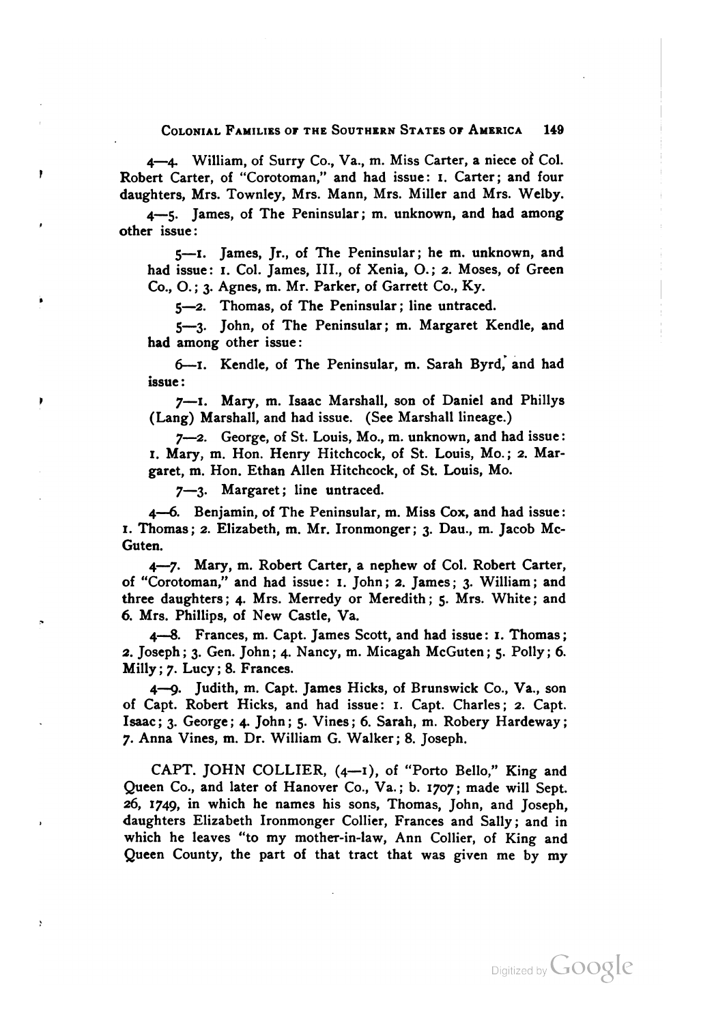## COLONIAL FAMILIES OF THE SOUTHERN STATES OF AMERICA 149

4-4 William, of Surry Co., Va., m. Miss Carter, a niece ot Col. Robert Carter, of "Corotoman," and had issue: I. Carter; and four daughters, Mrs. Townley, Mrs. Mann, Mrs. Miller and Mrs. Welby.

4-5. James, of The Peninsular; m. unknown, and had among other issue:

**5-1.** James, Jr., of The Peninsular; he m. unknown, and had issue: I. Col. James, III., of Xenia, 0.; 2. Moses, of Green Co., 0.; 3. Agnes, m. Mr. Parker, of Garrett Co., Ky.

**5-2.** Thomas, of The Peninsular; line untraced.

5-3. John, of The Peninsular; m. Margaret Kendle, and had among other issue:

6-1. Kendle, of The Peninsular, m. Sarah Byrd, and had issue :

**7-1.** Mary, m. Isaac Marshall, son of Daniel and Phillys (Lang) Marshall, and had issue. (See Marshall lineage.)

7-2. George, of St. Louis, Mo., m. unknown, and had issue: I. Mary, m. Hon. Henry Hitchcock, of St. Louis, Mo.; 2. Margaret, m. Hon. Ethan Allen Hitchcock, of St. Louis, Mo.

7-3. Margaret; line untraced.

ł

4-4. Benjamin, of The Peninsular, m. Miss Cox, and had issue: **I.** Thomas; 2. Elizabeth, m. Mr. Ironmonger; 3. Dau., m. Jacob Mc-Guten.

4-7. Mary, m. Robert Carter, a nephew of Col. Robert Carter, of "Corotoman," and had issue: I. John; 2. James; 3. William; and three daughters; 4. Mrs. Merredy or Meredith; **5.** Mrs. White; and 6. Mrs. Phillips, of New Castle, Va.

**4-4.** Frances, m. Capt. James Scott, and had issue : I. Thomas ; 2. Joseph ; 3. Gen. John; 4. Nancy, m. Micagah McGuten; **5.** Polly; 6. Milly ; 7. Lucy ; 8. Frances.

**4--9.** Judith, m. Capt. James Hicks, of Brunswick Co., Va., son of Capt. Robert Hicks, and had issue: I. Capt. Charles; 2. Capt. Isaac ; 3. George ; 4. John ; **5.** Vines ; **6.** Sarah, m. Robery Hardeway ; 7. Anna Vines, m. Dr. William G. Walker; 8. Joseph.

CAPT. JOHN COLLIER, (4-1), of "Porto Bello," King and Queen Co., and later of Hanover Co., Va.; b. 1707; made will Sept. 26, 1749, in which he names his sons, Thomas, John, and Joseph, daughters Elizabeth Ironmonger Collier, Frances and Sally; and in which he leaves "to my mother-in-law, Ann Collier, of King and Queen County, the part of that tract that was given me by my

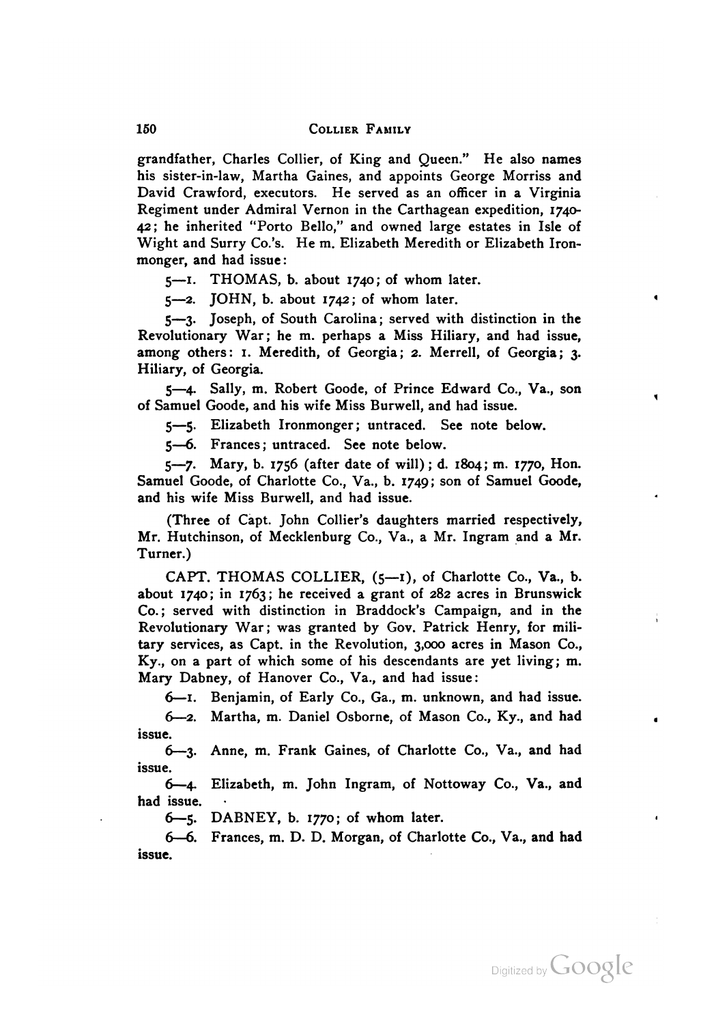grandfather, Charles Collier, of King and Queen." He also names his sister-in-law, Martha Gaines, and appoints George Morriss and David Crawford, executors. He served as an officer in a Virginia Regiment under Admiral Vernon in the Carthagean expedition, 1740- **42;** he inherited "Porto Bello," and owned large estates in Isle of Wight and Surry Co.'s. He m. Elizabeth Meredith or Elizabeth Ironmonger, and had issue :

5-1. THOMAS, b. about 1740; of whom later.

 $5-2$ . JOHN, b. about 1742; of whom later.

5-3. Joseph, of South Carolina; served with distinction in the Revolutionary War; he m. perhaps a Miss Hiliary, and had issue, among others: I. Meredith, of Georgia; 2. Merrell, of Georgia; 3. Hiliary, of Georgia.

5-4. Sally, m. Robert Goode, of Prince Edward Co., Va., son of Samuel Goode, and his wife Miss Burwell, and had issue.

5-5. Elizabeth Ironmonger; untraced. See note below.

5-6. Frances; untraced. See note below.

5-7. Mary, b. 1756 (after date of will); d. 1804; m. 1770, Hon. Samuel Goode, of Charlotte Co., Va., b. 1749; son of Samuel Goode, and his wife Miss Burwell, and had issue.

(Three of Capt. John Collier's daughters married respectively, Mr. Hutchinson, of Mecklenburg Co., Va., a Mr. Ingram and a Mr. Turner.)

CAPT. THOMAS COLLIER,  $(5-1)$ , of Charlotte Co., Va., b. about 1740; in 1763; he received a grant of 282 acres in Brunswick Co.; served with distinction in Braddock's Campaign, and in the Revolutionary War; was granted by Gov. Patrick Henry, for military services, as Capt. in the Revolution, 3,000 acres in Mason Co., Ky., on a part of which some of his descendants are yet living; m. Mary Dabney, of Hanover Co., Va., and had issue:

6-1. Benjamin, of Early Co., Ga., m. unknown, and had issue. 6-2. Martha, m. Daniel Osborne, of Mason Co., Ky., and had issue.

**63.** Anne, m. Frank Gaines, of Charlotte Co., Va., and had issue.

6-4 Elizabeth, m. John Ingram, of Nottoway Co., Va., and had issue.

6-5. DABNEY, b. 1770; of whom later.

. Frances, m. D. D. Morgan, of Charlotte Co., Va., and had issue.